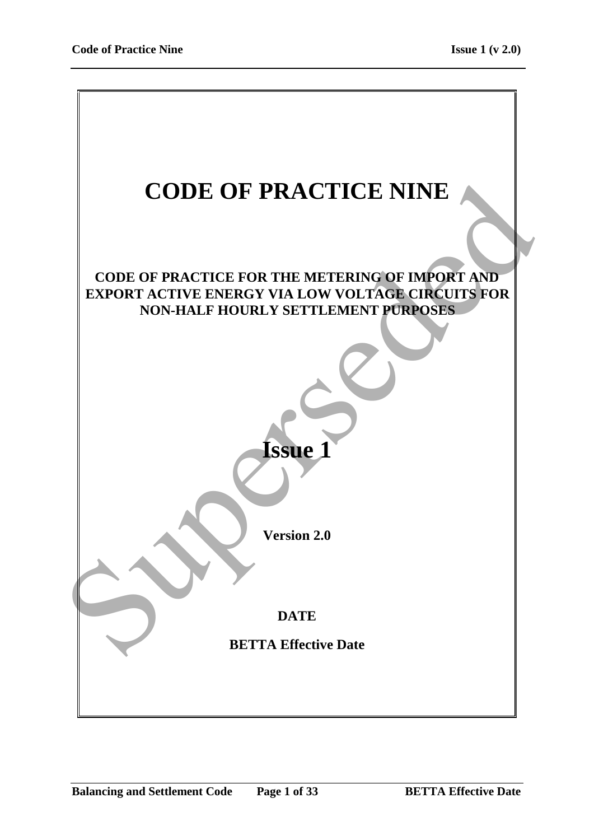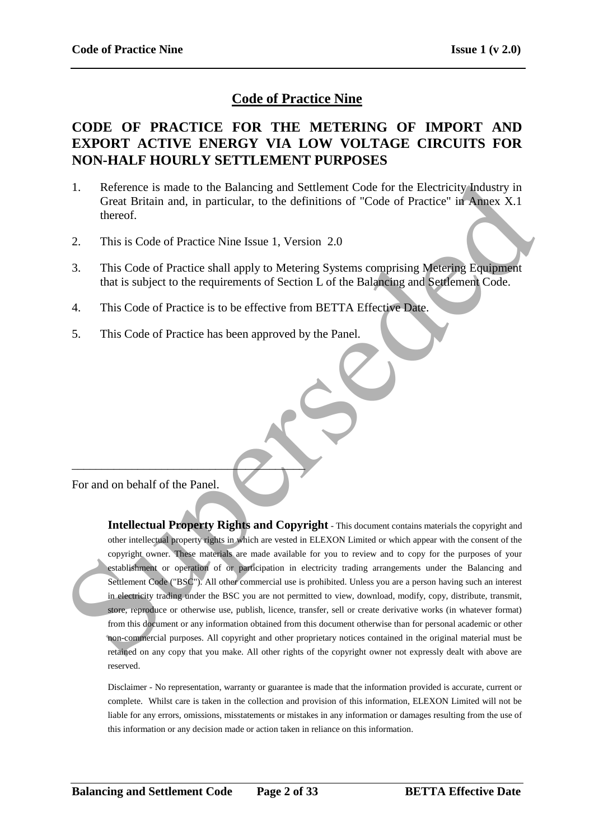# **Code of Practice Nine**

# **CODE OF PRACTICE FOR THE METERING OF IMPORT AND EXPORT ACTIVE ENERGY VIA LOW VOLTAGE CIRCUITS FOR NON-HALF HOURLY SETTLEMENT PURPOSES**

- 1. Reference is made to the Balancing and Settlement Code for the Electricity Industry in Great Britain and, in particular, to the definitions of "Code of Practice" in Annex X.1 thereof.
- 2. This is Code of Practice Nine Issue 1, Version 2.0
- 3. This Code of Practice shall apply to Metering Systems comprising Metering Equipment that is subject to the requirements of Section L of the Balancing and Settlement Code.
- 4. This Code of Practice is to be effective from BETTA Effective Date.
- 5. This Code of Practice has been approved by the Panel.

For and on behalf of the Panel.

 $\overline{\phantom{a}}$ 

**Intellectual Property Rights and Copyright** - This document contains materials the copyright and other intellectual property rights in which are vested in ELEXON Limited or which appear with the consent of the copyright owner. These materials are made available for you to review and to copy for the purposes of your establishment or operation of or participation in electricity trading arrangements under the Balancing and Settlement Code ("BSC"). All other commercial use is prohibited. Unless you are a person having such an interest in electricity trading under the BSC you are not permitted to view, download, modify, copy, distribute, transmit, store, reproduce or otherwise use, publish, licence, transfer, sell or create derivative works (in whatever format) from this document or any information obtained from this document otherwise than for personal academic or other non-commercial purposes. All copyright and other proprietary notices contained in the original material must be retained on any copy that you make. All other rights of the copyright owner not expressly dealt with above are reserved. 1. Reference is made to the Balancing and Settlement Code for the Electricity-Industry in Great British and, in particular, to the definitions of "Code of Practice" in Almex X.1<br>thereof.<br>2. This is Code of Practice Shall

Disclaimer - No representation, warranty or guarantee is made that the information provided is accurate, current or complete. Whilst care is taken in the collection and provision of this information, ELEXON Limited will not be liable for any errors, omissions, misstatements or mistakes in any information or damages resulting from the use of this information or any decision made or action taken in reliance on this information.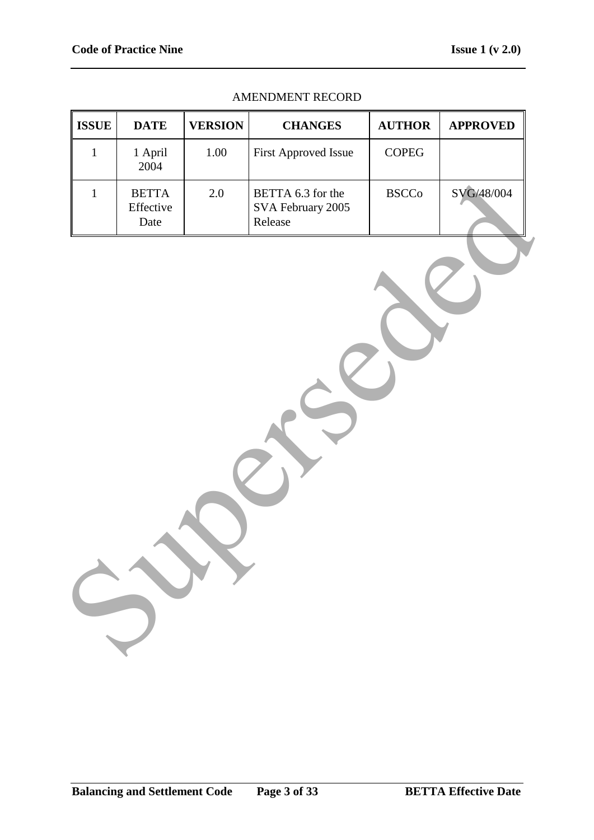| <b>ISSUE</b> | <b>DATE</b>                       | <b>VERSION</b> | <b>CHANGES</b>                                    | <b>AUTHOR</b> | <b>APPROVED</b> |
|--------------|-----------------------------------|----------------|---------------------------------------------------|---------------|-----------------|
| $\mathbf{1}$ | 1 April<br>2004                   | 1.00           | First Approved Issue                              | $\sf{COPEG}$  |                 |
| $\mathbf{1}$ | <b>BETTA</b><br>Effective<br>Date | $2.0\,$        | BETTA 6.3 for the<br>SVA February 2005<br>Release | <b>BSCCo</b>  | SVG/48/004      |
|              |                                   |                |                                                   |               |                 |

#### AMENDMENT RECORD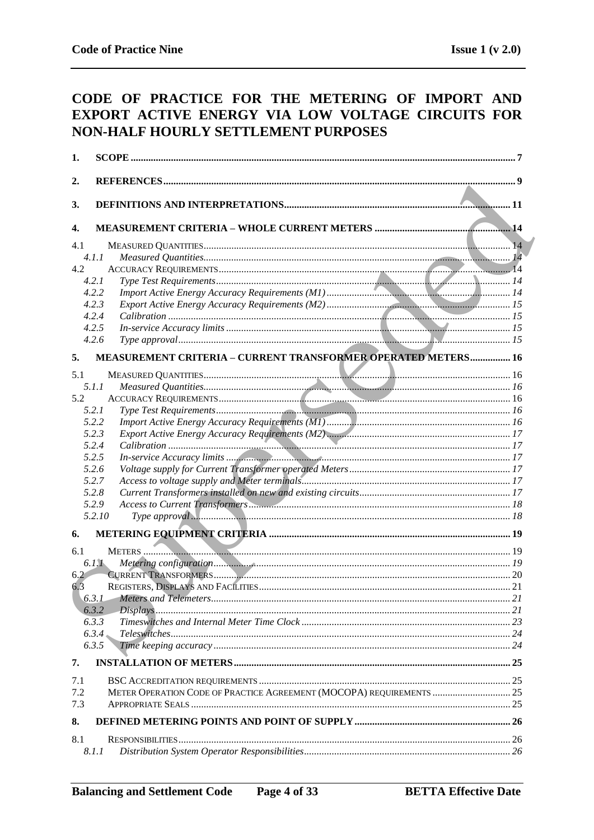# CODE OF PRACTICE FOR THE METERING OF IMPORT AND EXPORT ACTIVE ENERGY VIA LOW VOLTAGE CIRCUITS FOR NON-HALF HOURLY SETTLEMENT PURPOSES

| 1.         |                                                                      |     |
|------------|----------------------------------------------------------------------|-----|
| 2.         |                                                                      |     |
|            |                                                                      |     |
| 3.         |                                                                      |     |
| 4.         |                                                                      |     |
| 4.1        |                                                                      |     |
|            | 4.1.1                                                                |     |
| 4.2        |                                                                      |     |
|            | 4.2.1                                                                |     |
|            | 4.2.2                                                                |     |
|            | 4.2.3                                                                |     |
|            | 4.2.4                                                                |     |
|            | 4.2.5                                                                |     |
|            | 4.2.6                                                                |     |
| 5.         | MEASUREMENT CRITERIA - CURRENT TRANSFORMER OPERATED METERS 16        |     |
| 5.1        |                                                                      |     |
|            | 5.1.1                                                                |     |
| 5.2        |                                                                      |     |
|            | 5.2.1                                                                |     |
|            | 5.2.2                                                                |     |
|            | 5.2.3                                                                |     |
|            | 5.2.4                                                                |     |
|            | 5.2.5                                                                |     |
|            | 5.2.6                                                                |     |
|            | 5.2.7                                                                |     |
|            | 5.2.8                                                                |     |
|            | 5.2.9                                                                |     |
|            | 5.2.10                                                               |     |
| 6.         |                                                                      |     |
| 6.1        |                                                                      |     |
|            | 6.1.1                                                                |     |
| 6.2        |                                                                      |     |
| 6.3        |                                                                      |     |
|            |                                                                      | .21 |
|            | 6.3.2                                                                |     |
|            | 6.3.3                                                                |     |
|            | 6.3.4                                                                |     |
|            | 6.3.5                                                                |     |
| 7.         |                                                                      |     |
|            |                                                                      |     |
| 7.1<br>7.2 | METER OPERATION CODE OF PRACTICE AGREEMENT (MOCOPA) REQUIREMENTS  25 |     |
| 7.3        |                                                                      |     |
|            |                                                                      |     |
| 8.         |                                                                      |     |
| 8.1        |                                                                      |     |
|            | 8.1.1                                                                |     |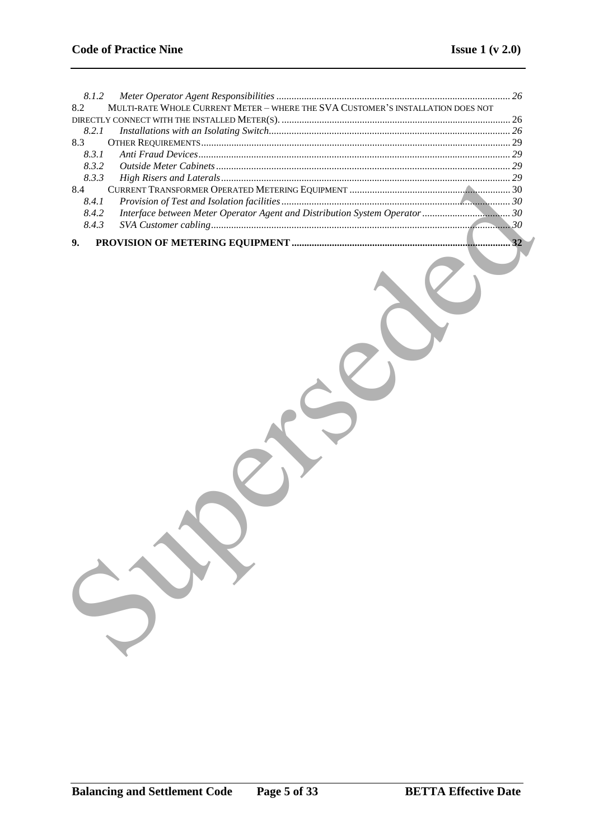| 8.1.2                                                                                  |    |
|----------------------------------------------------------------------------------------|----|
| MULTI-RATE WHOLE CURRENT METER - WHERE THE SVA CUSTOMER'S INSTALLATION DOES NOT<br>8.2 |    |
|                                                                                        |    |
| 8.2.1                                                                                  |    |
| 8.3                                                                                    |    |
| 8.3.1                                                                                  |    |
| 8.3.2                                                                                  |    |
| 8.3.3                                                                                  |    |
| 8.4                                                                                    |    |
| 8.4.1                                                                                  |    |
| 8.4.2                                                                                  |    |
| 8.4.3                                                                                  |    |
|                                                                                        | 32 |
| 9.                                                                                     |    |
|                                                                                        |    |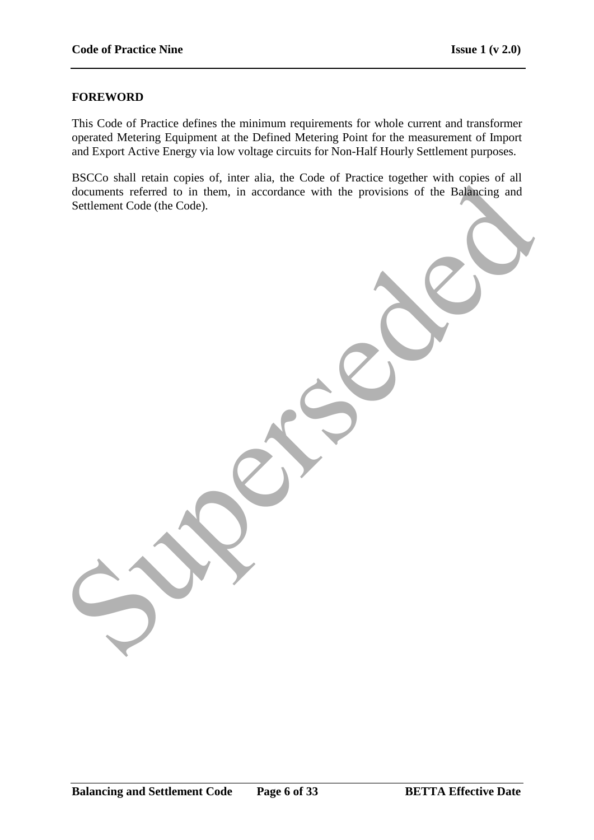### **FOREWORD**

This Code of Practice defines the minimum requirements for whole current and transformer operated Metering Equipment at the Defined Metering Point for the measurement of Import and Export Active Energy via low voltage circuits for Non-Half Hourly Settlement purposes.

BSCCo shall retain copies of, inter alia, the Code of Practice together with copies of all documents referred to in them, in accordance with the provisions of the Balancing and Settlement Code (the Code).

documents referred to in them, in accordance with the provisions of the Bankrunn and Seutement Code (the Code).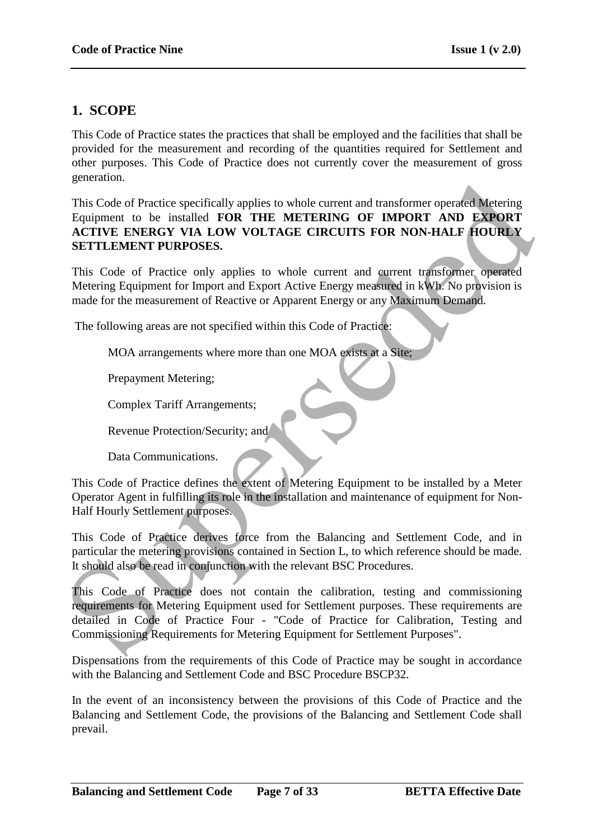# **1. SCOPE**

This Code of Practice states the practices that shall be employed and the facilities that shall be provided for the measurement and recording of the quantities required for Settlement and other purposes. This Code of Practice does not currently cover the measurement of gross generation.

This Code of Practice specifically applies to whole current and transformer operated Metering Equipment to be installed **FOR THE METERING OF IMPORT AND EXPORT ACTIVE ENERGY VIA LOW VOLTAGE CIRCUITS FOR NON-HALF HOURLY SETTLEMENT PURPOSES.**

This Code of Practice only applies to whole current and current transformer operated Metering Equipment for Import and Export Active Energy measured in kWh. No provision is made for the measurement of Reactive or Apparent Energy or any Maximum Demand.

The following areas are not specified within this Code of Practice:

MOA arrangements where more than one MOA exists at a Site;

Prepayment Metering;

Complex Tariff Arrangements;

Revenue Protection/Security; and

Data Communications.

This Code of Practice defines the extent of Metering Equipment to be installed by a Meter Operator Agent in fulfilling its role in the installation and maintenance of equipment for Non-Half Hourly Settlement purposes.

This Code of Practice derives force from the Balancing and Settlement Code, and in particular the metering provisions contained in Section L, to which reference should be made. It should also be read in conjunction with the relevant BSC Procedures.

This Code of Practice does not contain the calibration, testing and commissioning requirements for Metering Equipment used for Settlement purposes. These requirements are detailed in Code of Practice Four - "Code of Practice for Calibration, Testing and Commissioning Requirements for Metering Equipment for Settlement Purposes". Survayers (Cole of Practice specifically applies to whole current and transformer operated Metering<br>
This Code of Practice Specifically applies to whole current and transformer operated Metering<br>
AcTIVE ENNERGY VIA LOW VOL

Dispensations from the requirements of this Code of Practice may be sought in accordance with the Balancing and Settlement Code and BSC Procedure BSCP32.

In the event of an inconsistency between the provisions of this Code of Practice and the Balancing and Settlement Code, the provisions of the Balancing and Settlement Code shall prevail.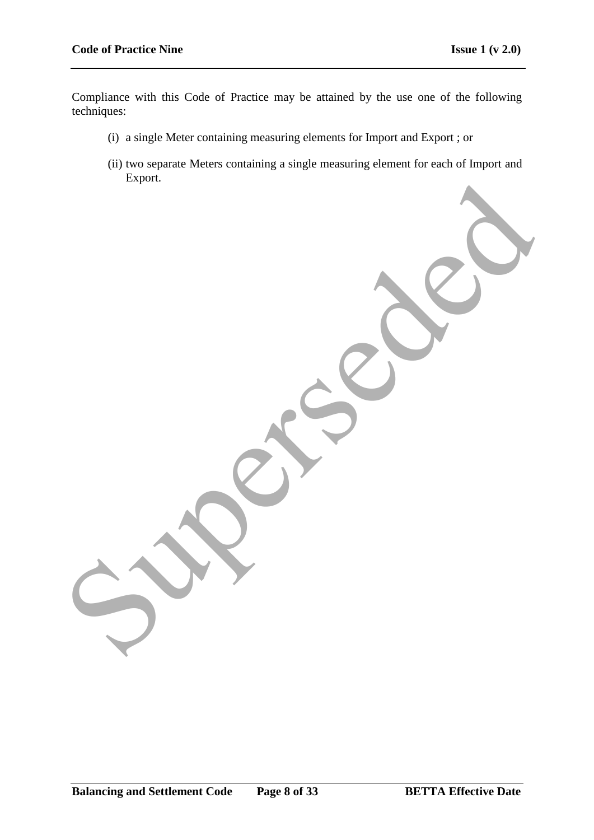Compliance with this Code of Practice may be attained by the use one of the following techniques:

- (i) a single Meter containing measuring elements for Import and Export ; or
- (ii) two separate Meters containing a single measuring element for each of Import and Export. Superseded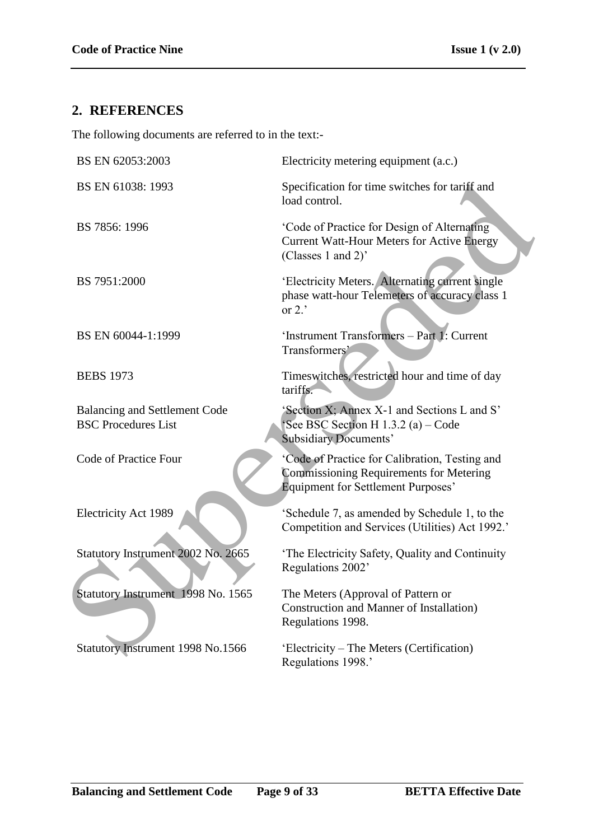# **2. REFERENCES**

The following documents are referred to in the text:-

| BS EN 62053:2003                                                   | Electricity metering equipment (a.c.)                                                                                                         |
|--------------------------------------------------------------------|-----------------------------------------------------------------------------------------------------------------------------------------------|
| BS EN 61038: 1993                                                  | Specification for time switches for tariff and<br>load control.                                                                               |
| BS 7856: 1996                                                      | 'Code of Practice for Design of Alternating<br><b>Current Watt-Hour Meters for Active Energy</b><br>(Classes 1 and 2)'                        |
| BS 7951:2000                                                       | 'Electricity Meters. Alternating current single<br>phase watt-hour Telemeters of accuracy class 1<br>or $2.$                                  |
| BS EN 60044-1:1999                                                 | 'Instrument Transformers - Part 1: Current<br>Transformers'                                                                                   |
| <b>BEBS</b> 1973                                                   | Timeswitches, restricted hour and time of day<br>tariffs.                                                                                     |
| <b>Balancing and Settlement Code</b><br><b>BSC Procedures List</b> | 'Section X; Annex X-1 and Sections L and S'<br>See BSC Section H $1.3.2$ (a) – Code<br><b>Subsidiary Documents'</b>                           |
| Code of Practice Four                                              | 'Code of Practice for Calibration, Testing and<br><b>Commissioning Requirements for Metering</b><br><b>Equipment for Settlement Purposes'</b> |
| <b>Electricity Act 1989</b>                                        | 'Schedule 7, as amended by Schedule 1, to the<br>Competition and Services (Utilities) Act 1992.'                                              |
| Statutory Instrument 2002 No. 2665                                 | 'The Electricity Safety, Quality and Continuity<br>Regulations 2002'                                                                          |
| Statutory Instrument 1998 No. 1565                                 | The Meters (Approval of Pattern or<br><b>Construction and Manner of Installation</b> )<br>Regulations 1998.                                   |
| Statutory Instrument 1998 No.1566                                  | 'Electricity – The Meters (Certification)<br>Regulations 1998.'                                                                               |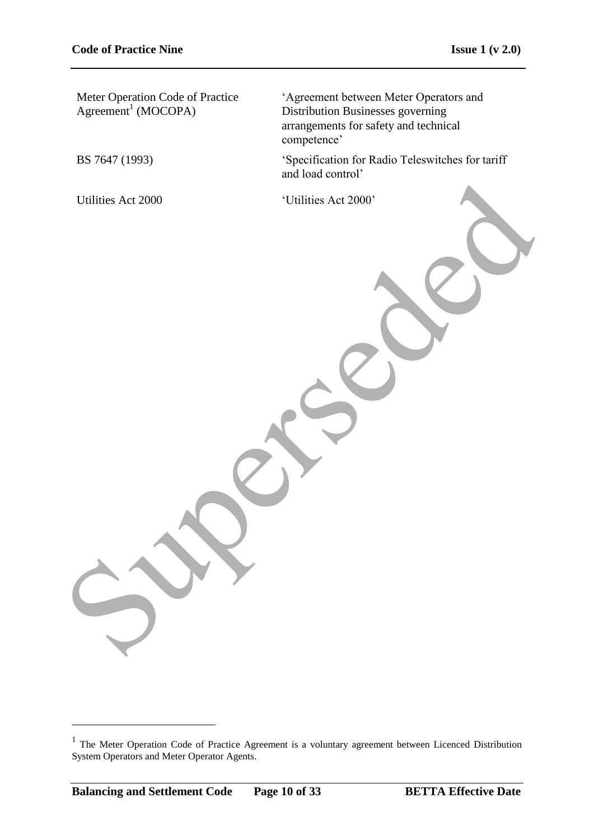Meter Operation Code of Practice  $Agreement<sup>1</sup> (MOCOPA)$ 

"Agreement between Meter Operators and Distribution Businesses governing arrangements for safety and technical competence'

BS 7647 (1993) "Specification for Radio Teleswitches for tariff and load control"

Utilities Act 2000 <br>
'Utilities Act 2000' Unificies Act 2000

1

<sup>&</sup>lt;sup>1</sup> The Meter Operation Code of Practice Agreement is a voluntary agreement between Licenced Distribution System Operators and Meter Operator Agents.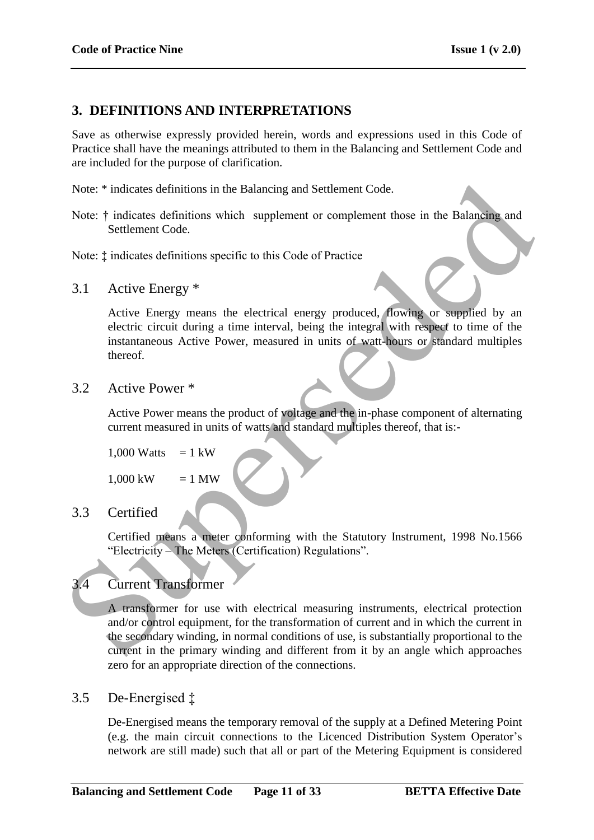# **3. DEFINITIONS AND INTERPRETATIONS**

Save as otherwise expressly provided herein, words and expressions used in this Code of Practice shall have the meanings attributed to them in the Balancing and Settlement Code and are included for the purpose of clarification.

Note: \* indicates definitions in the Balancing and Settlement Code.

Note:  $\dagger$  indicates definitions which supplement or complement those in the Balancing and Settlement Code.

Note: ‡ indicates definitions specific to this Code of Practice

3.1 Active Energy \*

Active Energy means the electrical energy produced, flowing or supplied by an electric circuit during a time interval, being the integral with respect to time of the instantaneous Active Power, measured in units of watt-hours or standard multiples thereof.

3.2 Active Power \*

Active Power means the product of voltage and the in-phase component of alternating current measured in units of watts and standard multiples thereof, that is:-

```
1,000 Watts = 1 kW
```
 $1,000 \text{ kW} = 1 \text{ MW}$ 

# 3.3 Certified

Certified means a meter conforming with the Statutory Instrument, 1998 No.1566 "Electricity – The Meters (Certification) Regulations".

# 3.4 Current Transformer

A transformer for use with electrical measuring instruments, electrical protection and/or control equipment, for the transformation of current and in which the current in the secondary winding, in normal conditions of use, is substantially proportional to the current in the primary winding and different from it by an angle which approaches zero for an appropriate direction of the connections. Note: \* indicates definitions in the Balancing and Settlement Code.<br>
Note: \* indicates definitions which supplement or complement those in the Balancing and<br>
Settlement Code.<br>
Note: \* indicates definitions specific to thi

## 3.5 De-Energised ‡

De-Energised means the temporary removal of the supply at a Defined Metering Point (e.g. the main circuit connections to the Licenced Distribution System Operator"s network are still made) such that all or part of the Metering Equipment is considered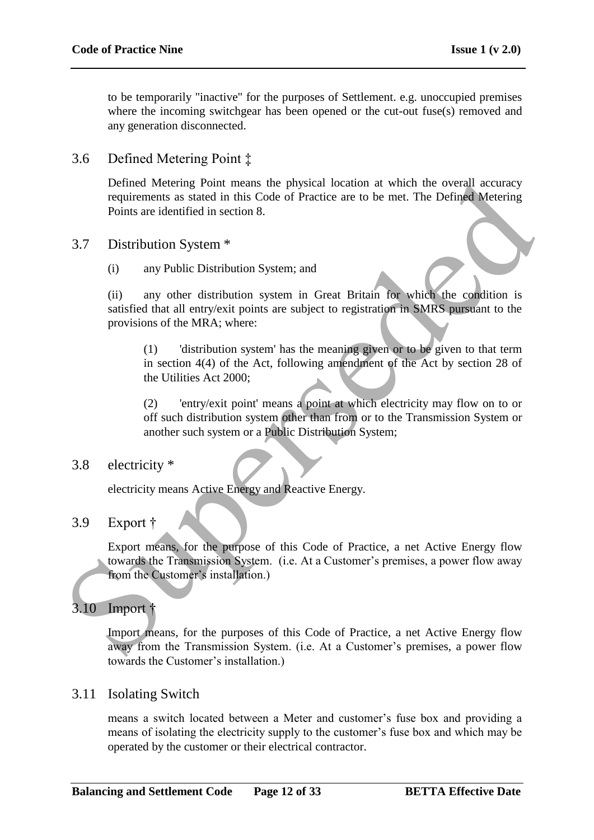to be temporarily "inactive" for the purposes of Settlement. e.g. unoccupied premises where the incoming switchgear has been opened or the cut-out fuse(s) removed and any generation disconnected.

3.6 Defined Metering Point ‡

Defined Metering Point means the physical location at which the overall accuracy requirements as stated in this Code of Practice are to be met. The Defined Metering Points are identified in section 8.

- 3.7 Distribution System \*
	- (i) any Public Distribution System; and

(ii) any other distribution system in Great Britain for which the condition is satisfied that all entry/exit points are subject to registration in SMRS pursuant to the provisions of the MRA; where: Defined Metering Point means the physical location at which the overall accuracy<br>requirements as stated in this Code of Practice are to be met. The Defined Metering<br>Points are identified in section 8.<br>3.7 Distribution Sys

(1) 'distribution system' has the meaning given or to be given to that term in section 4(4) of the Act, following amendment of the Act by section 28 of the Utilities Act 2000;

(2) 'entry/exit point' means a point at which electricity may flow on to or off such distribution system other than from or to the Transmission System or another such system or a Public Distribution System;

## 3.8 electricity \*

electricity means Active Energy and Reactive Energy.

## 3.9 Export †

Export means, for the purpose of this Code of Practice, a net Active Energy flow towards the Transmission System. (i.e. At a Customer's premises, a power flow away from the Customer's installation.)

# 3.10 Import †

Import means, for the purposes of this Code of Practice, a net Active Energy flow away from the Transmission System. (i.e. At a Customer's premises, a power flow towards the Customer"s installation.)

## 3.11 Isolating Switch

means a switch located between a Meter and customer"s fuse box and providing a means of isolating the electricity supply to the customer"s fuse box and which may be operated by the customer or their electrical contractor.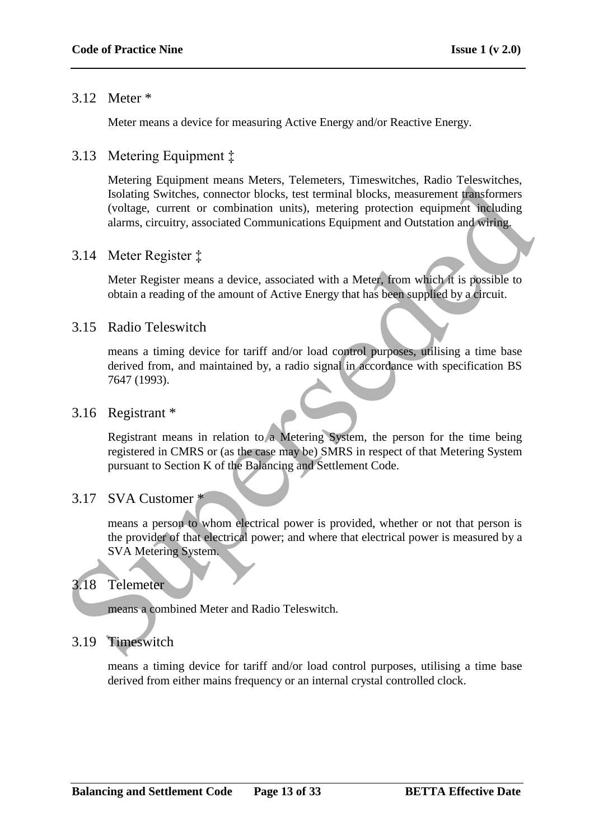## 3.12 Meter \*

Meter means a device for measuring Active Energy and/or Reactive Energy.

# 3.13 Metering Equipment ‡

Metering Equipment means Meters, Telemeters, Timeswitches, Radio Teleswitches, Isolating Switches, connector blocks, test terminal blocks, measurement transformers (voltage, current or combination units), metering protection equipment including alarms, circuitry, associated Communications Equipment and Outstation and wiring. Netting Equipment means versets, telemeters, unestwetters, kaota relevantes<br>
Isolating Switches, connector blocks, test terminal blocks, measurement remationments<br>
(voltage, current or combination units), metering protecti

## 3.14 Meter Register ‡

Meter Register means a device, associated with a Meter, from which it is possible to obtain a reading of the amount of Active Energy that has been supplied by a circuit.

## 3.15 Radio Teleswitch

means a timing device for tariff and/or load control purposes, utilising a time base derived from, and maintained by, a radio signal in accordance with specification BS 7647 (1993).

## 3.16 Registrant \*

Registrant means in relation to a Metering System, the person for the time being registered in CMRS or (as the case may be) SMRS in respect of that Metering System pursuant to Section K of the Balancing and Settlement Code.

## 3.17 SVA Customer \*

means a person to whom electrical power is provided, whether or not that person is the provider of that electrical power; and where that electrical power is measured by a SVA Metering System.

## 3.18 Telemeter

means a combined Meter and Radio Teleswitch.

## 3.19 Timeswitch

means a timing device for tariff and/or load control purposes, utilising a time base derived from either mains frequency or an internal crystal controlled clock.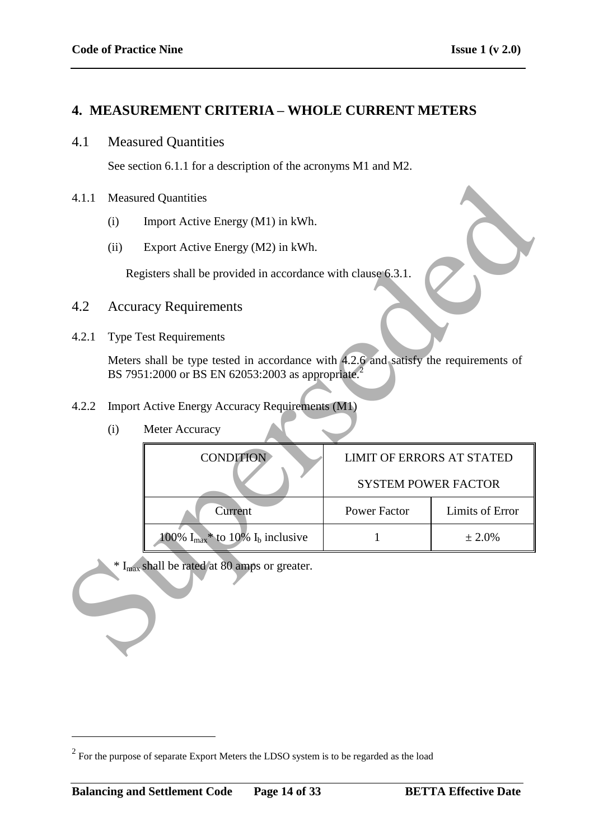## **4. MEASUREMENT CRITERIA – WHOLE CURRENT METERS**

## 4.1 Measured Quantities

See section 6.1.1 for a description of the acronyms M1 and M2.

#### 4.1.1 Measured Quantities

- (i) Import Active Energy (M1) in kWh.
- (ii) Export Active Energy (M2) in kWh.

- 4.2 Accuracy Requirements
- 4.2.1 Type Test Requirements

| (i) | Meter Accuracy |
|-----|----------------|
|     |                |

| 4.1.1 |                                                                                     | <b>Measured Quantities</b>                                                                                                                            |                                  |                 |  |  |
|-------|-------------------------------------------------------------------------------------|-------------------------------------------------------------------------------------------------------------------------------------------------------|----------------------------------|-----------------|--|--|
|       | (i)                                                                                 | Import Active Energy (M1) in kWh.                                                                                                                     |                                  |                 |  |  |
|       | (ii)                                                                                | Export Active Energy (M2) in kWh.                                                                                                                     |                                  |                 |  |  |
|       | Registers shall be provided in accordance with clause 6.3.1.                        |                                                                                                                                                       |                                  |                 |  |  |
| 4.2   |                                                                                     | <b>Accuracy Requirements</b>                                                                                                                          |                                  |                 |  |  |
| 4.2.1 |                                                                                     | <b>Type Test Requirements</b>                                                                                                                         |                                  |                 |  |  |
|       |                                                                                     | Meters shall be type tested in accordance with 4.2.6 and satisfy the requirements of<br>BS 7951:2000 or BS EN 62053:2003 as appropriate. <sup>2</sup> |                                  |                 |  |  |
| 4.2.2 | <b>Import Active Energy Accuracy Requirements (M1)</b>                              |                                                                                                                                                       |                                  |                 |  |  |
|       | (i)                                                                                 | Meter Accuracy                                                                                                                                        |                                  |                 |  |  |
|       |                                                                                     | <b>CONDITION</b>                                                                                                                                      | <b>LIMIT OF ERRORS AT STATED</b> |                 |  |  |
|       |                                                                                     |                                                                                                                                                       | <b>SYSTEM POWER FACTOR</b>       |                 |  |  |
|       |                                                                                     | Current                                                                                                                                               | <b>Power Factor</b>              | Limits of Error |  |  |
|       | 100% $I_{\text{max}}$ <sup>*</sup> to 10% $I_b$ inclusive<br>$\mathbf{1}$<br>± 2.0% |                                                                                                                                                       |                                  |                 |  |  |
|       |                                                                                     | * I <sub>max</sub> shall be rated at 80 amps or greater.                                                                                              |                                  |                 |  |  |

 $2^{2}$  For the purpose of separate Export Meters the LDSO system is to be regarded as the load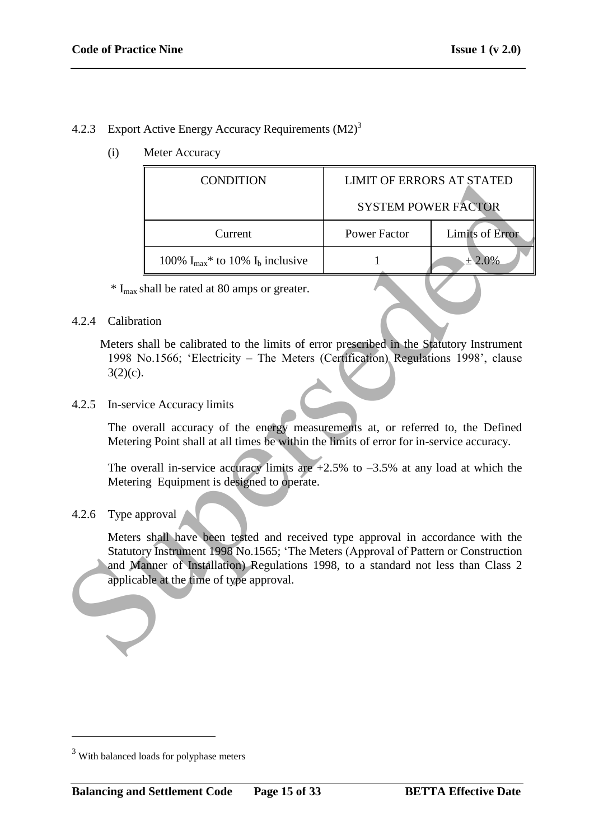# 4.2.3 Export Active Energy Accuracy Requirements (M2)<sup>3</sup>

(i) Meter Accuracy

|                                          | <b>CONDITION</b>                                                                                                                                                                                                                                            | <b>LIMIT OF ERRORS AT STATED</b> |                        |  |
|------------------------------------------|-------------------------------------------------------------------------------------------------------------------------------------------------------------------------------------------------------------------------------------------------------------|----------------------------------|------------------------|--|
|                                          |                                                                                                                                                                                                                                                             | <b>SYSTEM POWER FACTOR</b>       |                        |  |
|                                          | Current                                                                                                                                                                                                                                                     | <b>Power Factor</b>              | <b>Limits of Error</b> |  |
|                                          | 100% $I_{max}$ * to 10% $I_b$ inclusive                                                                                                                                                                                                                     | $\mathbf{1}$                     | ± 2.0%                 |  |
|                                          | * I <sub>max</sub> shall be rated at 80 amps or greater.                                                                                                                                                                                                    |                                  |                        |  |
| 4.2.4<br>Calibration                     |                                                                                                                                                                                                                                                             |                                  |                        |  |
| $3(2)(c)$ .                              | Meters shall be calibrated to the limits of error prescribed in the Statutory Instrument<br>1998 No.1566; 'Electricity – The Meters (Certification) Regulations 1998', clause                                                                               |                                  |                        |  |
| 4.2.5                                    | In-service Accuracy limits                                                                                                                                                                                                                                  |                                  |                        |  |
|                                          | The overall accuracy of the energy measurements at, or referred to, the Defined<br>Metering Point shall at all times be within the limits of error for in-service accuracy.                                                                                 |                                  |                        |  |
|                                          | The overall in-service accuracy limits are $+2.5\%$ to $-3.5\%$ at any load at which the<br>Metering Equipment is designed to operate.                                                                                                                      |                                  |                        |  |
| 4.2.6                                    | Type approval                                                                                                                                                                                                                                               |                                  |                        |  |
|                                          | Meters shall have been tested and received type approval in accordance with the<br>Statutory Instrument 1998 No.1565; 'The Meters (Approval of Pattern or Construction<br>and Manner of Installation) Regulations 1998, to a standard not less than Class 2 |                                  |                        |  |
| applicable at the time of type approval. |                                                                                                                                                                                                                                                             |                                  |                        |  |

## 4.2.6 Type approval

<sup>&</sup>lt;sup>3</sup> With balanced loads for polyphase meters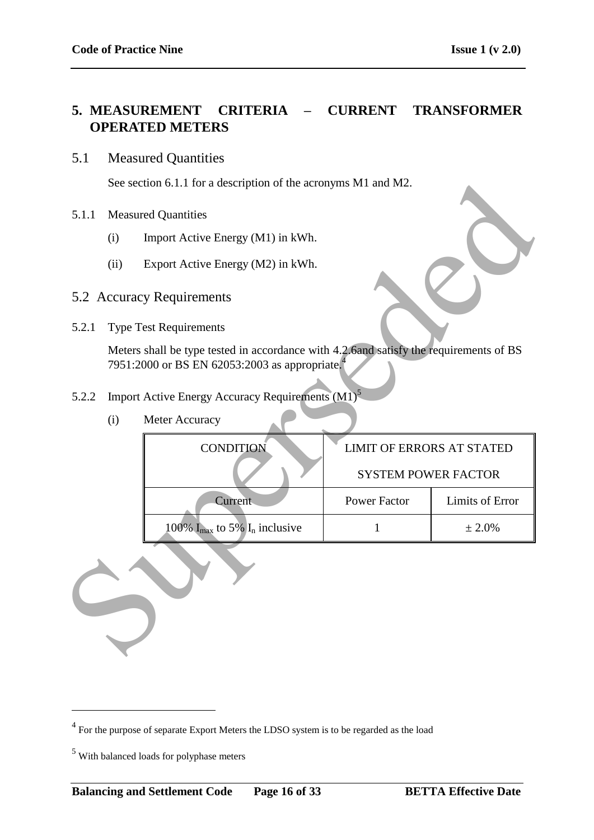# **5. MEASUREMENT CRITERIA – CURRENT TRANSFORMER OPERATED METERS**

## 5.1 Measured Quantities

See section 6.1.1 for a description of the acronyms M1 and M2.

- 5.1.1 Measured Quantities
	- (i) Import Active Energy (M1) in kWh.
	- (ii) Export Active Energy (M2) in kWh.
- 5.2 Accuracy Requirements
- 5.2.1 Type Test Requirements

- 5.2.2 Import Active Energy Accuracy Requirements (M1)<sup>5</sup>
	- (i) Meter Accuracy

|       | See section 6.1.1 for a description of the acronyms M1 and M2. |                                                                                                                                                      |                                  |                        |  |
|-------|----------------------------------------------------------------|------------------------------------------------------------------------------------------------------------------------------------------------------|----------------------------------|------------------------|--|
| 5.1.1 |                                                                | <b>Measured Quantities</b>                                                                                                                           |                                  |                        |  |
|       | (i)                                                            | Import Active Energy (M1) in kWh.                                                                                                                    |                                  |                        |  |
|       | (ii)                                                           | Export Active Energy (M2) in kWh.                                                                                                                    |                                  |                        |  |
|       |                                                                | 5.2 Accuracy Requirements                                                                                                                            |                                  |                        |  |
| 5.2.1 |                                                                | <b>Type Test Requirements</b>                                                                                                                        |                                  |                        |  |
|       |                                                                | Meters shall be type tested in accordance with 4.2.6and satisfy the requirements of BS<br>7951:2000 or BS EN 62053:2003 as appropriate. <sup>4</sup> |                                  |                        |  |
| 5.2.2 |                                                                | Import Active Energy Accuracy Requirements (M1) <sup>5</sup>                                                                                         |                                  |                        |  |
|       | (i)                                                            | Meter Accuracy                                                                                                                                       |                                  |                        |  |
|       |                                                                | <b>CONDITION</b>                                                                                                                                     | <b>LIMIT OF ERRORS AT STATED</b> |                        |  |
|       |                                                                |                                                                                                                                                      | <b>SYSTEM POWER FACTOR</b>       |                        |  |
|       |                                                                | Current                                                                                                                                              | <b>Power Factor</b>              | <b>Limits of Error</b> |  |
|       |                                                                | 100% $I_{\text{max}}$ to 5% $I_n$ inclusive                                                                                                          | $\mathbf{1}$                     | ± 2.0%                 |  |
|       |                                                                |                                                                                                                                                      |                                  |                        |  |

 $4$  For the purpose of separate Export Meters the LDSO system is to be regarded as the load

<sup>5</sup> With balanced loads for polyphase meters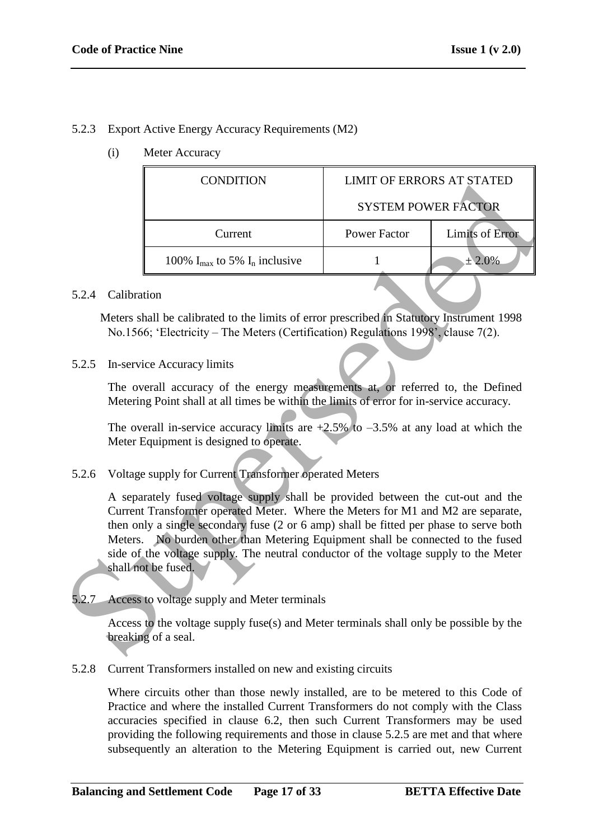## 5.2.3 Export Active Energy Accuracy Requirements (M2)

(i) Meter Accuracy

| <b>CONDITION</b>                                     | <b>LIMIT OF ERRORS AT STATED</b>                                                                                                   |                                                                                                                                                                                                                                                                                                                                                                                                                                                                                                                                                                                                                                                                                                                                                                                                                                                                                                                                                                                                                                                                                                            |
|------------------------------------------------------|------------------------------------------------------------------------------------------------------------------------------------|------------------------------------------------------------------------------------------------------------------------------------------------------------------------------------------------------------------------------------------------------------------------------------------------------------------------------------------------------------------------------------------------------------------------------------------------------------------------------------------------------------------------------------------------------------------------------------------------------------------------------------------------------------------------------------------------------------------------------------------------------------------------------------------------------------------------------------------------------------------------------------------------------------------------------------------------------------------------------------------------------------------------------------------------------------------------------------------------------------|
|                                                      | <b>SYSTEM POWER FACTOR</b>                                                                                                         |                                                                                                                                                                                                                                                                                                                                                                                                                                                                                                                                                                                                                                                                                                                                                                                                                                                                                                                                                                                                                                                                                                            |
| Current                                              | <b>Power Factor</b>                                                                                                                | <b>Limits of Error</b>                                                                                                                                                                                                                                                                                                                                                                                                                                                                                                                                                                                                                                                                                                                                                                                                                                                                                                                                                                                                                                                                                     |
| 100% $I_{\text{max}}$ to 5% $I_{\text{n}}$ inclusive | 1                                                                                                                                  | ± 2.0%                                                                                                                                                                                                                                                                                                                                                                                                                                                                                                                                                                                                                                                                                                                                                                                                                                                                                                                                                                                                                                                                                                     |
|                                                      |                                                                                                                                    |                                                                                                                                                                                                                                                                                                                                                                                                                                                                                                                                                                                                                                                                                                                                                                                                                                                                                                                                                                                                                                                                                                            |
|                                                      |                                                                                                                                    |                                                                                                                                                                                                                                                                                                                                                                                                                                                                                                                                                                                                                                                                                                                                                                                                                                                                                                                                                                                                                                                                                                            |
|                                                      |                                                                                                                                    |                                                                                                                                                                                                                                                                                                                                                                                                                                                                                                                                                                                                                                                                                                                                                                                                                                                                                                                                                                                                                                                                                                            |
|                                                      |                                                                                                                                    |                                                                                                                                                                                                                                                                                                                                                                                                                                                                                                                                                                                                                                                                                                                                                                                                                                                                                                                                                                                                                                                                                                            |
|                                                      |                                                                                                                                    |                                                                                                                                                                                                                                                                                                                                                                                                                                                                                                                                                                                                                                                                                                                                                                                                                                                                                                                                                                                                                                                                                                            |
|                                                      |                                                                                                                                    |                                                                                                                                                                                                                                                                                                                                                                                                                                                                                                                                                                                                                                                                                                                                                                                                                                                                                                                                                                                                                                                                                                            |
|                                                      |                                                                                                                                    |                                                                                                                                                                                                                                                                                                                                                                                                                                                                                                                                                                                                                                                                                                                                                                                                                                                                                                                                                                                                                                                                                                            |
|                                                      |                                                                                                                                    |                                                                                                                                                                                                                                                                                                                                                                                                                                                                                                                                                                                                                                                                                                                                                                                                                                                                                                                                                                                                                                                                                                            |
|                                                      |                                                                                                                                    |                                                                                                                                                                                                                                                                                                                                                                                                                                                                                                                                                                                                                                                                                                                                                                                                                                                                                                                                                                                                                                                                                                            |
|                                                      | Calibration<br>In-service Accuracy limits<br>Meter Equipment is designed to operate.<br>shall not be fused.<br>breaking of a seal. | Meters shall be calibrated to the limits of error prescribed in Statutory Instrument 1998<br>No.1566; 'Electricity – The Meters (Certification) Regulations 1998', clause 7(2).<br>The overall accuracy of the energy measurements at, or referred to, the Defined<br>Metering Point shall at all times be within the limits of error for in-service accuracy.<br>The overall in-service accuracy limits are $+2.5\%$ to $-3.5\%$ at any load at which the<br>Voltage supply for Current Transformer operated Meters<br>A separately fused voltage supply shall be provided between the cut-out and the<br>Current Transformer operated Meter. Where the Meters for M1 and M2 are separate,<br>then only a single secondary fuse (2 or 6 amp) shall be fitted per phase to serve both<br>Meters. No burden other than Metering Equipment shall be connected to the fused<br>side of the voltage supply. The neutral conductor of the voltage supply to the Meter<br>Access to voltage supply and Meter terminals<br>Access to the voltage supply fuse(s) and Meter terminals shall only be possible by the |

#### 5.2.4 Calibration

5.2.8 Current Transformers installed on new and existing circuits

Where circuits other than those newly installed, are to be metered to this Code of Practice and where the installed Current Transformers do not comply with the Class accuracies specified in clause 6.2, then such Current Transformers may be used providing the following requirements and those in clause 5.2.5 are met and that where subsequently an alteration to the Metering Equipment is carried out, new Current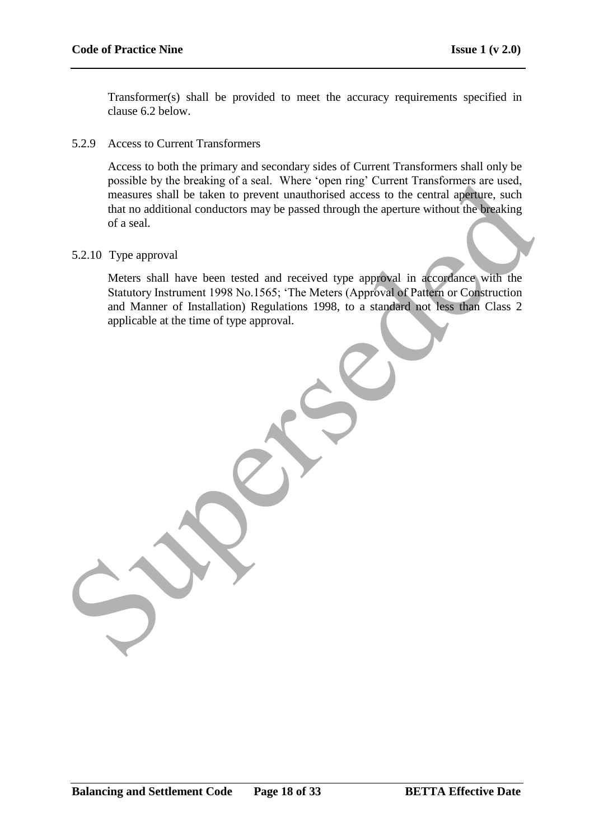Transformer(s) shall be provided to meet the accuracy requirements specified in clause 6.2 below.

#### 5.2.9 Access to Current Transformers

Access to both the primary and secondary sides of Current Transformers shall only be possible by the breaking of a seal. Where "open ring" Current Transformers are used, measures shall be taken to prevent unauthorised access to the central aperture, such that no additional conductors may be passed through the aperture without the breaking of a seal.

#### 5.2.10 Type approval

Meters shall have been tested and received type approval in accordance with the Statutory Instrument 1998 No.1565; "The Meters (Approval of Pattern or Construction and Manner of Installation) Regulations 1998, to a standard not less than Class 2 applicable at the time of type approval. possible by the breaking of a seal. Were "open ring Current transformes are used,<br>measures hall be taken to prevent transformed access to the central appener, such<br>that no additional conductors may be passed through the ap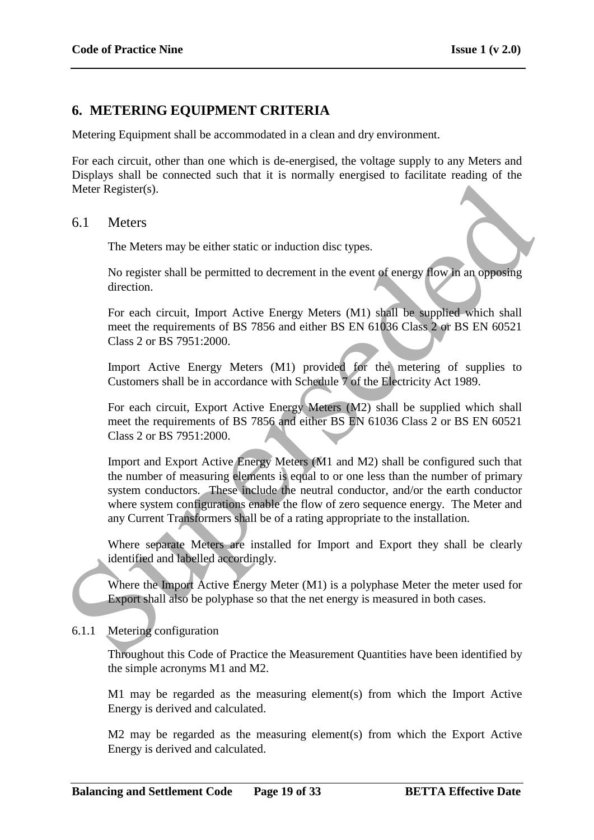# **6. METERING EQUIPMENT CRITERIA**

Metering Equipment shall be accommodated in a clean and dry environment.

For each circuit, other than one which is de-energised, the voltage supply to any Meters and Displays shall be connected such that it is normally energised to facilitate reading of the Meter Register(s).

#### 6.1 Meters

The Meters may be either static or induction disc types.

No register shall be permitted to decrement in the event of energy flow in an opposing direction.

For each circuit, Import Active Energy Meters (M1) shall be supplied which shall meet the requirements of BS 7856 and either BS EN 61036 Class 2 or BS EN 60521 Class 2 or BS 7951:2000.

Import Active Energy Meters (M1) provided for the metering of supplies to Customers shall be in accordance with Schedule 7 of the Electricity Act 1989.

For each circuit, Export Active Energy Meters (M2) shall be supplied which shall meet the requirements of BS 7856 and either BS EN 61036 Class 2 or BS EN 60521 Class 2 or BS 7951:2000.

Import and Export Active Energy Meters (M1 and M2) shall be configured such that the number of measuring elements is equal to or one less than the number of primary system conductors. These include the neutral conductor, and/or the earth conductor where system configurations enable the flow of zero sequence energy. The Meter and any Current Transformers shall be of a rating appropriate to the installation. Meter Register(s).<br>
6.1 Meters<br>
The Meters may be either static or induction disc types.<br>
No register shall be permitted to decrement in the event of energy flow in an opposing<br>
direction.<br>
For each circuit, Import Active

Where separate Meters are installed for Import and Export they shall be clearly identified and labelled accordingly.

Where the Import Active Energy Meter (M1) is a polyphase Meter the meter used for Export shall also be polyphase so that the net energy is measured in both cases.

## 6.1.1 Metering configuration

Throughout this Code of Practice the Measurement Quantities have been identified by the simple acronyms M1 and M2.

M1 may be regarded as the measuring element(s) from which the Import Active Energy is derived and calculated.

M2 may be regarded as the measuring element(s) from which the Export Active Energy is derived and calculated.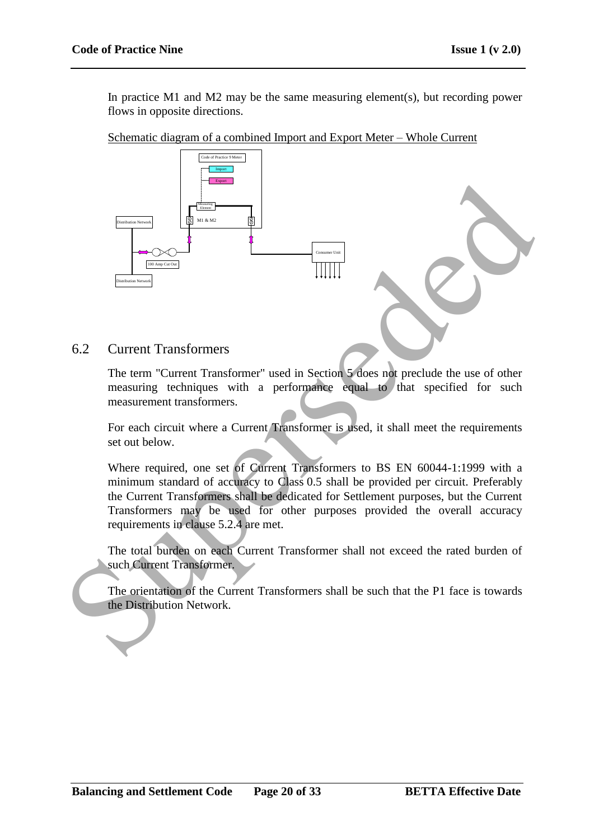In practice M1 and M2 may be the same measuring element(s), but recording power flows in opposite directions.

Schematic diagram of a combined Import and Export Meter – Whole Current



6.2 Current Transformers

The term "Current Transformer" used in Section 5 does not preclude the use of other measuring techniques with a performance equal to that specified for such measurement transformers.

For each circuit where a Current Transformer is used, it shall meet the requirements set out below.

Where required, one set of Current Transformers to BS EN 60044-1:1999 with a minimum standard of accuracy to Class 0.5 shall be provided per circuit. Preferably the Current Transformers shall be dedicated for Settlement purposes, but the Current Transformers may be used for other purposes provided the overall accuracy requirements in clause 5.2.4 are met.

The total burden on each Current Transformer shall not exceed the rated burden of such Current Transformer.

The orientation of the Current Transformers shall be such that the P1 face is towards the Distribution Network.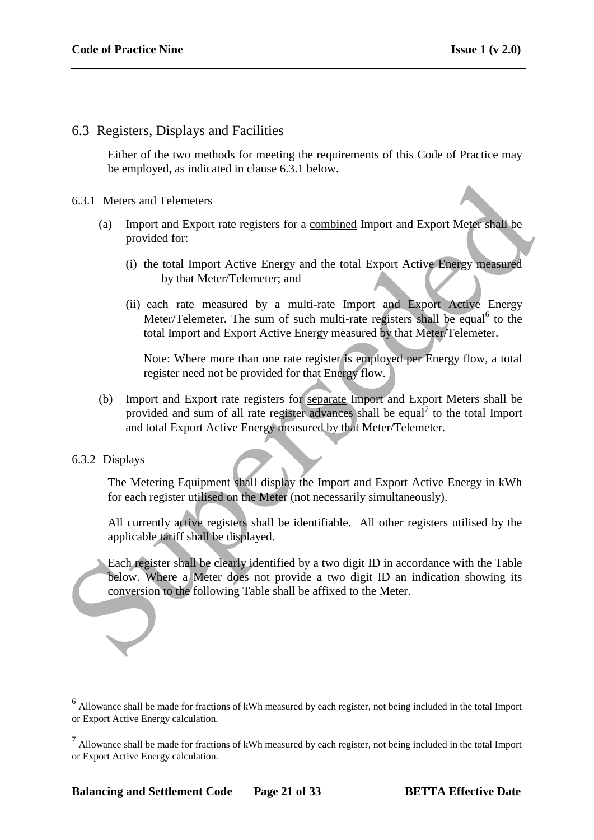## 6.3 Registers, Displays and Facilities

Either of the two methods for meeting the requirements of this Code of Practice may be employed, as indicated in clause 6.3.1 below.

#### 6.3.1 Meters and Telemeters

- (a) Import and Export rate registers for a combined Import and Export Meter shall be provided for:
	- (i) the total Import Active Energy and the total Export Active Energy measured by that Meter/Telemeter; and
	- (ii) each rate measured by a multi-rate Import and Export Active Energy Meter/Telemeter. The sum of such multi-rate registers shall be equal<sup>6</sup> to the total Import and Export Active Energy measured by that Meter/Telemeter.

Note: Where more than one rate register is employed per Energy flow, a total register need not be provided for that Energy flow.

(b) Import and Export rate registers for separate Import and Export Meters shall be provided and sum of all rate register advances shall be equal<sup>7</sup> to the total Import and total Export Active Energy measured by that Meter/Telemeter. 6.3.1 Meters and Telemeters<br>
(a) Import and Export rate registers for a <u>combined</u> Import and Export Meter shall be<br>
provided for:<br>
(i) the total Import Active Energy and the total Export Active Energy measured<br>
(ii) see h

#### 6.3.2 Displays

1

The Metering Equipment shall display the Import and Export Active Energy in kWh for each register utilised on the Meter (not necessarily simultaneously).

All currently active registers shall be identifiable. All other registers utilised by the applicable tariff shall be displayed.

Each register shall be clearly identified by a two digit ID in accordance with the Table below. Where a Meter does not provide a two digit ID an indication showing its conversion to the following Table shall be affixed to the Meter.

<sup>&</sup>lt;sup>6</sup> Allowance shall be made for fractions of kWh measured by each register, not being included in the total Import or Export Active Energy calculation.

 $<sup>7</sup>$  Allowance shall be made for fractions of kWh measured by each register, not being included in the total Import</sup> or Export Active Energy calculation.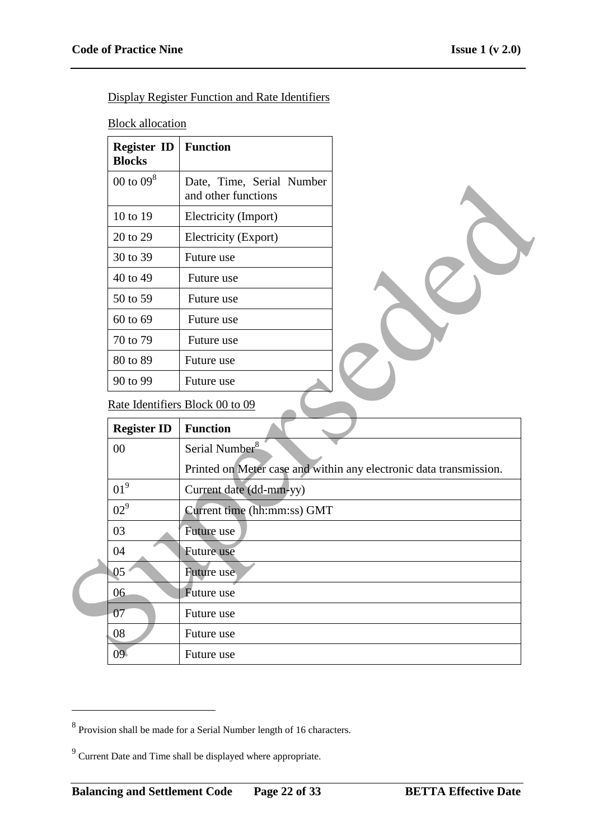Display Register Function and Rate Identifiers

**Block allocation** 

| <b>Register ID</b><br><b>Blocks</b> | <b>Function</b>                                  |
|-------------------------------------|--------------------------------------------------|
| 00 to $098$                         | Date, Time, Serial Number<br>and other functions |
| 10 to 19                            | Electricity (Import)                             |
| 20 to 29                            | Electricity (Export)                             |
| 30 to 39                            | Future use                                       |
| 40 to 49                            | Future use                                       |
| 50 to 59                            | Future use                                       |
| 60 to 69                            | Future use                                       |
| 70 to 79                            | Future use                                       |
| 80 to 89                            | Future use                                       |
| 90 to 99                            | Future use                                       |

| $00$ to $09^{\circ}$ | Date, Time, Serial Number<br>and other functions |                                                                    |
|----------------------|--------------------------------------------------|--------------------------------------------------------------------|
| 10 to 19             | Electricity (Import)                             |                                                                    |
| 20 to 29             | Electricity (Export)                             |                                                                    |
| 30 to 39             | Future use                                       |                                                                    |
| 40 to 49             | Future use                                       |                                                                    |
| 50 to 59             | Future use                                       |                                                                    |
| 60 to 69             | Future use                                       |                                                                    |
| 70 to 79             | Future use                                       |                                                                    |
| 80 to 89             | Future use                                       |                                                                    |
| 90 to 99             | Future use                                       |                                                                    |
|                      | Rate Identifiers Block 00 to 09                  |                                                                    |
|                      |                                                  |                                                                    |
| <b>Register ID</b>   | <b>Function</b>                                  |                                                                    |
| $00\,$               | Serial Number <sup>8</sup>                       |                                                                    |
|                      |                                                  | Printed on Meter case and within any electronic data transmission. |
| 01 <sup>9</sup>      | Current date (dd-mm-yy)                          |                                                                    |
| 02 <sup>9</sup>      | Current time (hh:mm:ss) GMT                      |                                                                    |
| 03                   | Future use                                       |                                                                    |
| 04                   | Future use                                       |                                                                    |
| 05                   | Future use                                       |                                                                    |
| 06                   | Future use                                       |                                                                    |
| 07                   | Future use                                       |                                                                    |
| 08                   | Future use                                       |                                                                    |

<sup>&</sup>lt;sup>8</sup> Provision shall be made for a Serial Number length of 16 characters.

 $9^9$  Current Date and Time shall be displayed where appropriate.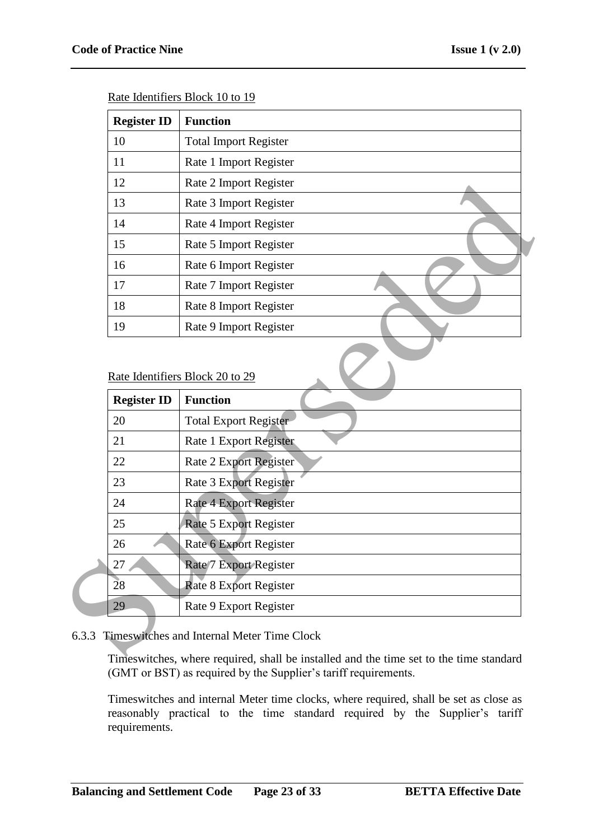| <b>Register ID</b> | <b>Function</b>              |
|--------------------|------------------------------|
| 10                 | <b>Total Import Register</b> |
| 11                 | Rate 1 Import Register       |
| 12                 | Rate 2 Import Register       |
| 13                 | Rate 3 Import Register       |
| 14                 | Rate 4 Import Register       |
| 15                 | Rate 5 Import Register       |
| 16                 | Rate 6 Import Register       |
| 17                 | Rate 7 Import Register       |
| 18                 | Rate 8 Import Register       |
| 19                 | Rate 9 Import Register       |

Rate Identifiers Block 10 to 19

#### Rate Identifiers Block 20 to 29

| 12                              | Rate 2 Import Register        |
|---------------------------------|-------------------------------|
| 13                              | Rate 3 Import Register        |
| 14                              | Rate 4 Import Register        |
| 15                              | Rate 5 Import Register        |
| 16                              | Rate 6 Import Register        |
| 17                              | Rate 7 Import Register        |
| 18                              | Rate 8 Import Register        |
| 19                              | Rate 9 Import Register        |
| Rate Identifiers Block 20 to 29 |                               |
|                                 |                               |
| <b>Register ID</b>              | <b>Function</b>               |
| 20                              | <b>Total Export Register</b>  |
| 21                              | Rate 1 Export Register        |
| 22                              | <b>Rate 2 Export Register</b> |
| 23                              | Rate 3 Export Register        |
| 24                              | Rate 4 Export Register        |
| 25                              | Rate 5 Export Register        |
| 26                              | Rate 6 Export Register        |
| 27                              | Rate/7 Export Register        |
| 28                              | <b>Rate 8 Export Register</b> |

## 6.3.3 Timeswitches and Internal Meter Time Clock

Timeswitches, where required, shall be installed and the time set to the time standard (GMT or BST) as required by the Supplier's tariff requirements.

Timeswitches and internal Meter time clocks, where required, shall be set as close as reasonably practical to the time standard required by the Supplier's tariff requirements.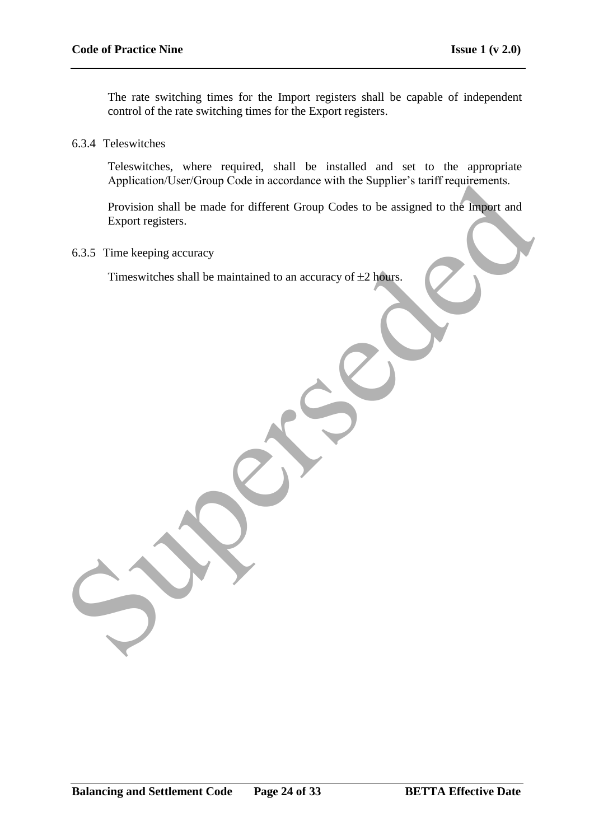The rate switching times for the Import registers shall be capable of independent control of the rate switching times for the Export registers.

6.3.4 Teleswitches

Teleswitches, where required, shall be installed and set to the appropriate Application/User/Group Code in accordance with the Supplier's tariff requirements.

Provision shall be made for different Group Codes to be assigned to the Import and Export registers. Application User/Group Code in accordance with the Supplier's tariff requirements.<br>
Provision stall be made for different Group Codes to be assigned to the Impart and<br>
Export registers.<br>
Timeswitches shall be maintained to

6.3.5 Time keeping accuracy

Timeswitches shall be maintained to an accuracy of  $\pm 2$  hours.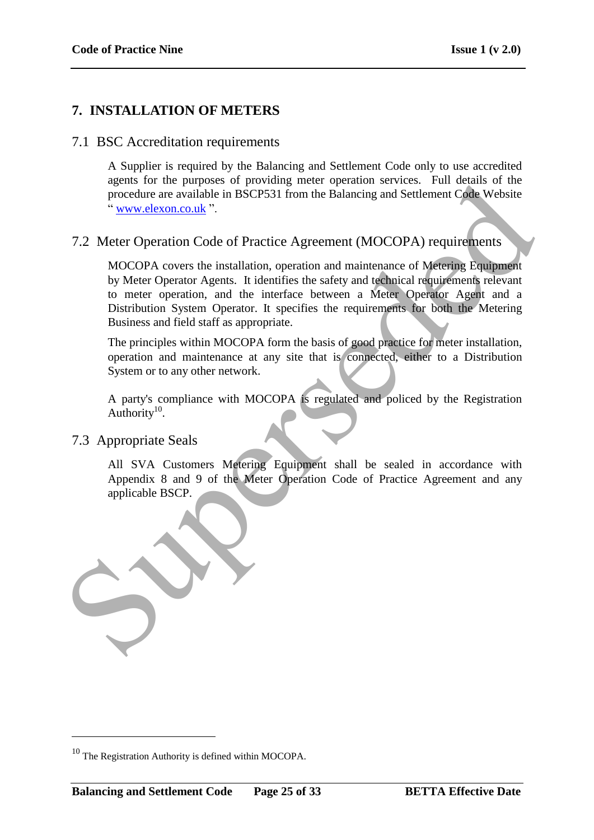# **7. INSTALLATION OF METERS**

## 7.1 BSC Accreditation requirements

A Supplier is required by the Balancing and Settlement Code only to use accredited agents for the purposes of providing meter operation services. Full details of the procedure are available in BSCP531 from the Balancing and Settlement Code Website " www.elexon.co.uk ".

# 7.2 Meter Operation Code of Practice Agreement (MOCOPA) requirements

MOCOPA covers the installation, operation and maintenance of Metering Equipment by Meter Operator Agents. It identifies the safety and technical requirements relevant to meter operation, and the interface between a Meter Operator Agent and a Distribution System Operator. It specifies the requirements for both the Metering Business and field staff as appropriate.

The principles within MOCOPA form the basis of good practice for meter installation, operation and maintenance at any site that is connected, either to a Distribution System or to any other network.

A party's compliance with MOCOPA is regulated and policed by the Registration Authority $10$ .

## 7.3 Appropriate Seals

<u>.</u>

All SVA Customers Metering Equipment shall be sealed in accordance with Appendix 8 and 9 of the Meter Operation Code of Practice Agreement and any applicable BSCP.



 $10$  The Registration Authority is defined within MOCOPA.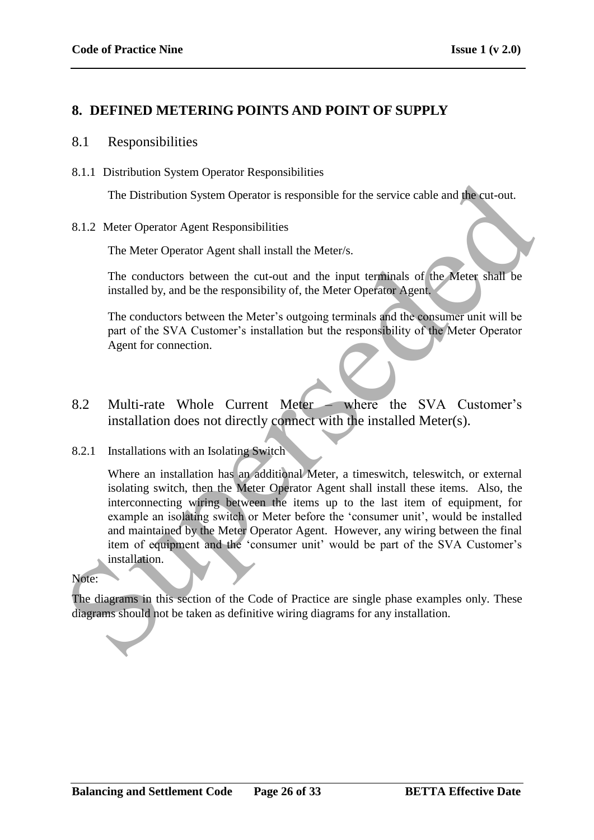# **8. DEFINED METERING POINTS AND POINT OF SUPPLY**

### 8.1 Responsibilities

8.1.1 Distribution System Operator Responsibilities

The Distribution System Operator is responsible for the service cable and the cut-out.

#### 8.1.2 Meter Operator Agent Responsibilities

The Meter Operator Agent shall install the Meter/s.

The conductors between the cut-out and the input terminals of the Meter shall be installed by, and be the responsibility of, the Meter Operator Agent.

The conductors between the Meter"s outgoing terminals and the consumer unit will be part of the SVA Customer"s installation but the responsibility of the Meter Operator Agent for connection.

8.2 Multi-rate Whole Current Meter – where the SVA Customer's installation does not directly connect with the installed Meter(s).

## 8.2.1 Installations with an Isolating Switch

Where an installation has an additional Meter, a timeswitch, teleswitch, or external isolating switch, then the Meter Operator Agent shall install these items. Also, the interconnecting wiring between the items up to the last item of equipment, for example an isolating switch or Meter before the 'consumer unit', would be installed and maintained by the Meter Operator Agent. However, any wiring between the final item of equipment and the 'consumer unit' would be part of the SVA Customer's installation. The Distribution System Operator is responsible for the service cable and the cut-out.<br>
S.1.2 Meter Operator Agent Responsibilities<br>
The Meter Operator Agent shall install the Meter's.<br>
The conductors between the cut-out a

#### Note:

The diagrams in this section of the Code of Practice are single phase examples only. These diagrams should not be taken as definitive wiring diagrams for any installation.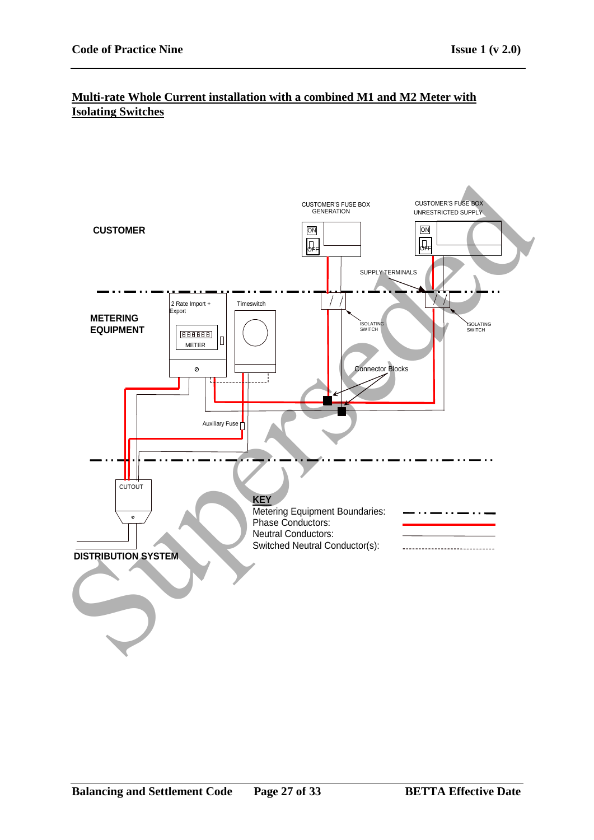## **Multi-rate Whole Current installation with a combined M1 and M2 Meter with Isolating Switches**

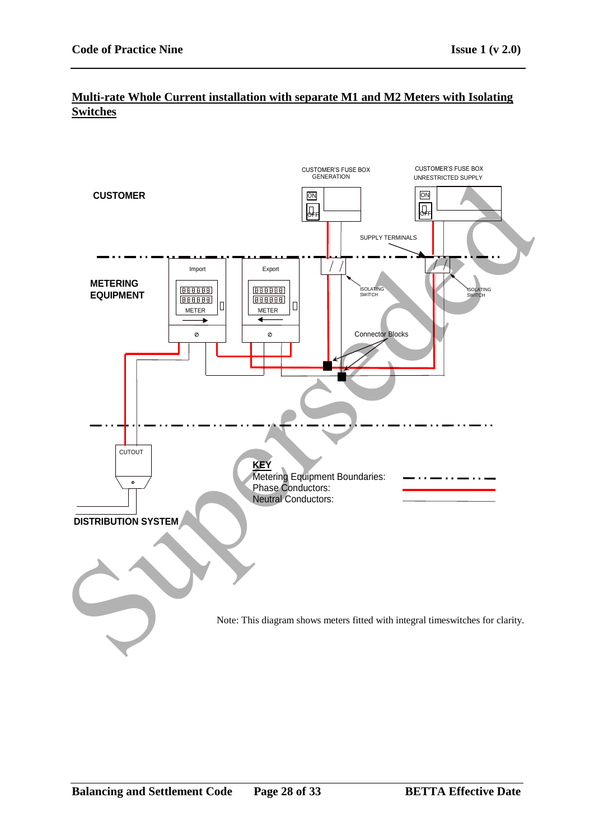# **Multi-rate Whole Current installation with separate M1 and M2 Meters with Isolating Switches**

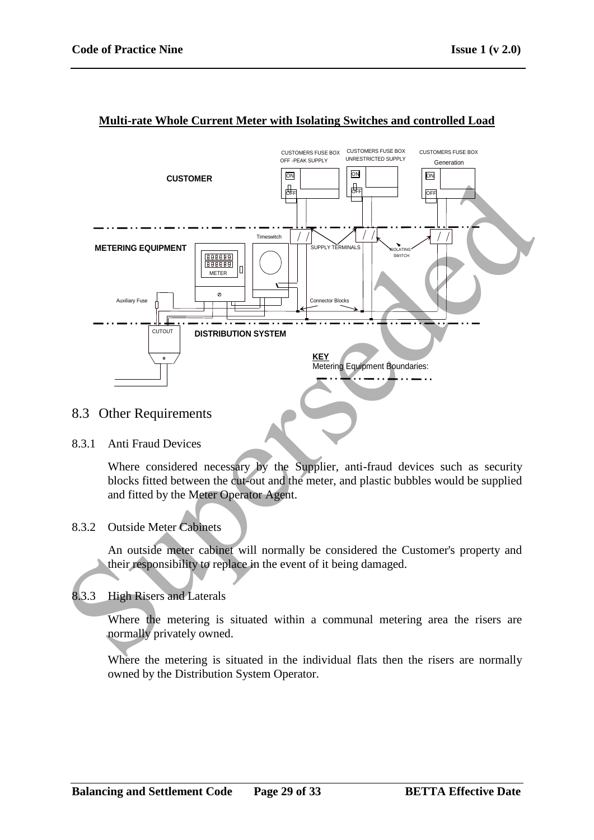

#### **Multi-rate Whole Current Meter with Isolating Switches and controlled Load**

## 8.3 Other Requirements

#### 8.3.1 Anti Fraud Devices

Where considered necessary by the Supplier, anti-fraud devices such as security blocks fitted between the cut-out and the meter, and plastic bubbles would be supplied and fitted by the Meter Operator Agent.

## 8.3.2 Outside Meter Cabinets

An outside meter cabinet will normally be considered the Customer's property and their responsibility to replace in the event of it being damaged.

## 8.3.3 High Risers and Laterals

Where the metering is situated within a communal metering area the risers are normally privately owned.

Where the metering is situated in the individual flats then the risers are normally owned by the Distribution System Operator.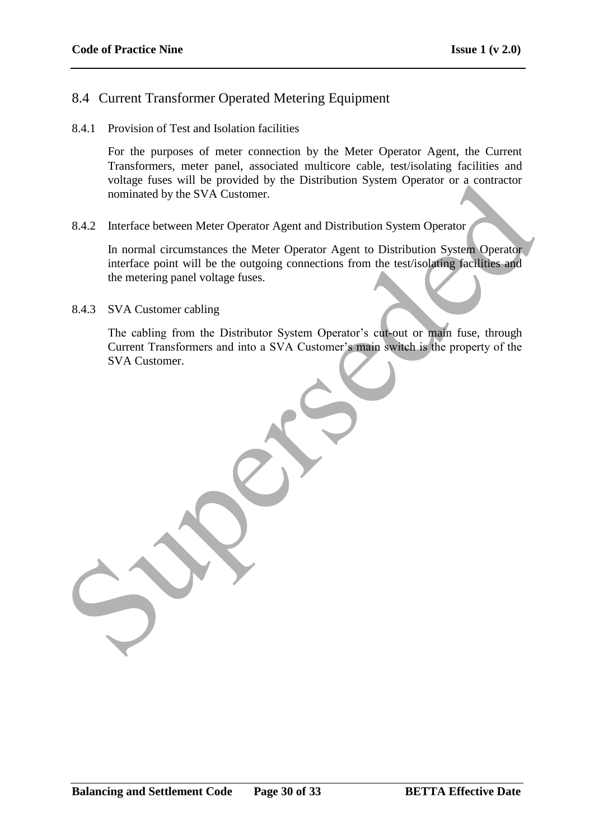# 8.4 Current Transformer Operated Metering Equipment

8.4.1 Provision of Test and Isolation facilities

For the purposes of meter connection by the Meter Operator Agent, the Current Transformers, meter panel, associated multicore cable, test/isolating facilities and voltage fuses will be provided by the Distribution System Operator or a contractor nominated by the SVA Customer.

8.4.2 Interface between Meter Operator Agent and Distribution System Operator

In normal circumstances the Meter Operator Agent to Distribution System Operator interface point will be the outgoing connections from the test/isolating facilities and the metering panel voltage fuses. Fourier Contractor of the Distribution System Operator of a contractor<br>
nominated by the SVA Customer.<br>
8.4.2 Interface between Meter Operator Agent and Distribution System Operator<br>
In normal circumstances the Meter Opera

8.4.3 SVA Customer cabling

The cabling from the Distributor System Operator's cut-out or main fuse, through Current Transformers and into a SVA Customer's main switch is the property of the SVA Customer.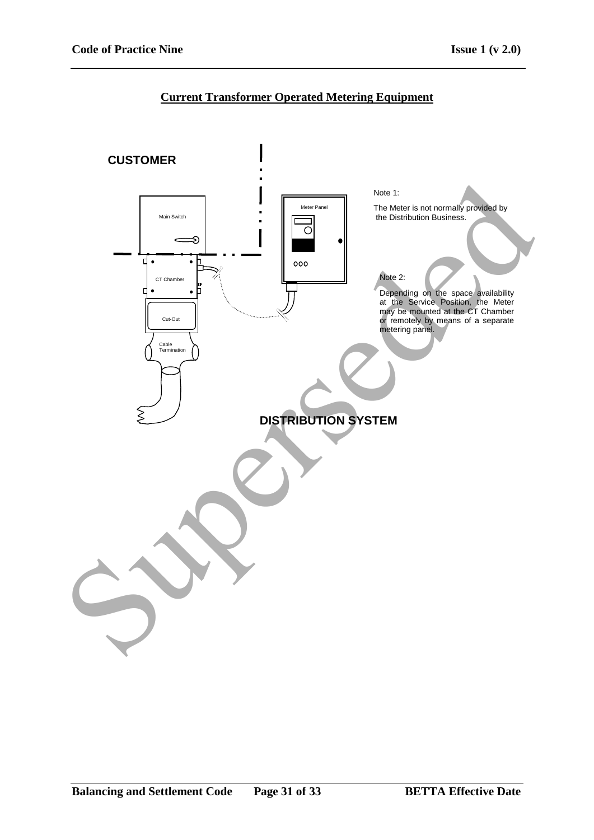# **Current Transformer Operated Metering Equipment**

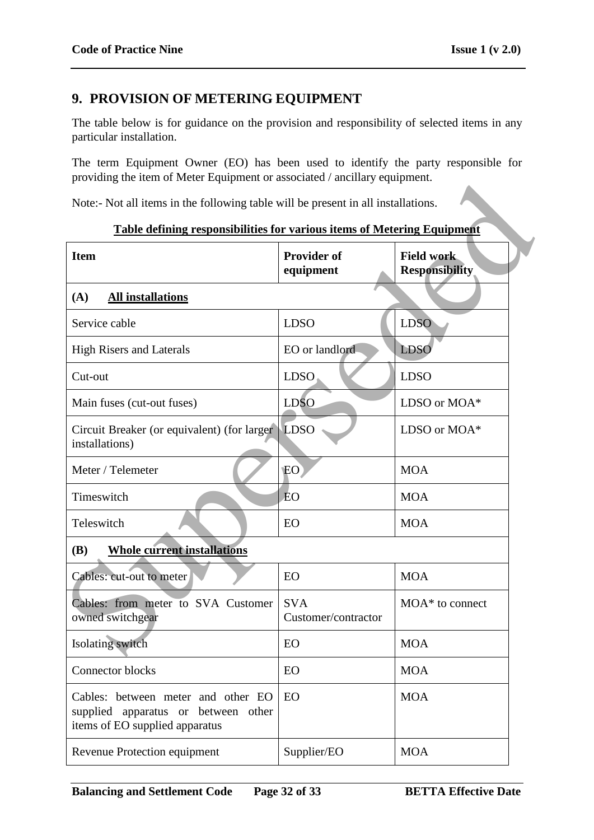# **9. PROVISION OF METERING EQUIPMENT**

The table below is for guidance on the provision and responsibility of selected items in any particular installation.

The term Equipment Owner (EO) has been used to identify the party responsible for providing the item of Meter Equipment or associated / ancillary equipment.

| providing the nem of include Equipment of associated / anemally equipment.                                  |                                   |                                            |  |  |
|-------------------------------------------------------------------------------------------------------------|-----------------------------------|--------------------------------------------|--|--|
| Note:- Not all items in the following table will be present in all installations.                           |                                   |                                            |  |  |
| <b>Table defining responsibilities for various items of Metering Equipment</b>                              |                                   |                                            |  |  |
| <b>Item</b>                                                                                                 | <b>Provider of</b><br>equipment   | <b>Field work</b><br><b>Responsibility</b> |  |  |
| (A)<br><b>All installations</b>                                                                             | <b>LDSO</b><br><b>LDSO</b>        |                                            |  |  |
| Service cable                                                                                               |                                   |                                            |  |  |
| <b>High Risers and Laterals</b>                                                                             | EO or landlord                    | <b>LDSO</b>                                |  |  |
| Cut-out                                                                                                     | <b>LDSO</b>                       | <b>LDSO</b>                                |  |  |
| Main fuses (cut-out fuses)                                                                                  | <b>LDSO</b>                       | LDSO or MOA*                               |  |  |
| Circuit Breaker (or equivalent) (for larger)<br>installations)                                              | LDSO                              | LDSO or MOA*                               |  |  |
| Meter / Telemeter                                                                                           | EO <sup>1</sup>                   | <b>MOA</b>                                 |  |  |
| Timeswitch                                                                                                  | <b>EO</b>                         | <b>MOA</b>                                 |  |  |
| Teleswitch                                                                                                  | EO                                | <b>MOA</b>                                 |  |  |
| <b>Whole current installations</b><br><b>(B)</b>                                                            |                                   |                                            |  |  |
| Cables: cut-out to meter                                                                                    | EO                                | <b>MOA</b>                                 |  |  |
| Cables: from meter to SVA Customer<br>owned switchgear                                                      | <b>SVA</b><br>Customer/contractor | $MOA^*$ to connect                         |  |  |
| Isolating switch                                                                                            | EO                                | <b>MOA</b>                                 |  |  |
| Connector blocks                                                                                            | EO                                | <b>MOA</b>                                 |  |  |
| Cables: between meter and other EO<br>supplied apparatus or between other<br>items of EO supplied apparatus | EO                                | <b>MOA</b>                                 |  |  |
| Revenue Protection equipment                                                                                | Supplier/EO                       | <b>MOA</b>                                 |  |  |
|                                                                                                             |                                   |                                            |  |  |

#### **Table defining responsibilities for various items of Metering Equipment**